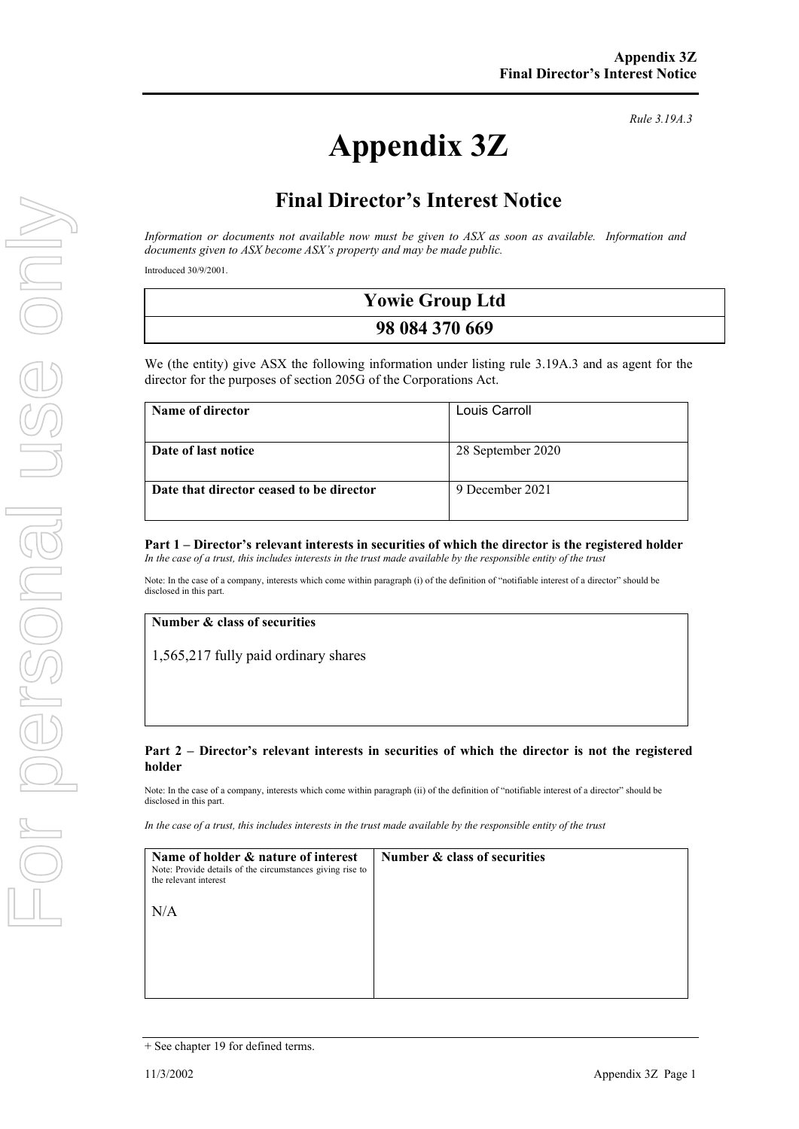# **Appendix 3Z**

*Rule 3.19A.3*

## **Final Director's Interest Notice**

*Information or documents not available now must be given to ASX as soon as available. Information and documents given to ASX become ASX's property and may be made public.*

Introduced 30/9/2001.

| <b>Yowie Group Ltd</b> |  |
|------------------------|--|
| 98 084 370 669         |  |

We (the entity) give ASX the following information under listing rule 3.19A.3 and as agent for the director for the purposes of section 205G of the Corporations Act.

| Name of director                         | Louis Carroll     |
|------------------------------------------|-------------------|
| Date of last notice                      | 28 September 2020 |
| Date that director ceased to be director | 9 December 2021   |

#### **Part 1 – Director's relevant interests in securities of which the director is the registered holder** *In the case of a trust, this includes interests in the trust made available by the responsible entity of the trust*

Note: In the case of a company, interests which come within paragraph (i) of the definition of "notifiable interest of a director" should be disclosed in this part.

#### **Number & class of securities**

1,565,217 fully paid ordinary shares

#### **Part 2 – Director's relevant interests in securities of which the director is not the registered holder**

Note: In the case of a company, interests which come within paragraph (ii) of the definition of "notifiable interest of a director" should be disclosed in this part.

*In the case of a trust, this includes interests in the trust made available by the responsible entity of the trust*

| Name of holder & nature of interest<br>Note: Provide details of the circumstances giving rise to<br>the relevant interest | Number & class of securities |
|---------------------------------------------------------------------------------------------------------------------------|------------------------------|
| N/A                                                                                                                       |                              |
|                                                                                                                           |                              |

<sup>+</sup> See chapter 19 for defined terms.